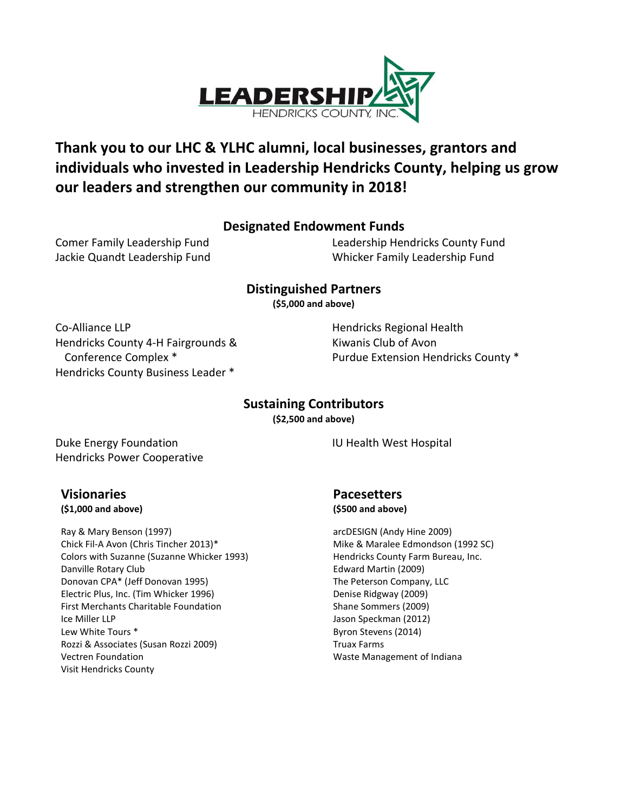

## **Thank you to our LHC & YLHC alumni, local businesses, grantors and individuals who invested in Leadership Hendricks County, helping us grow our leaders and strengthen our community in 2018!**

## **Designated Endowment Funds**

Comer Family Leadership Fund Jackie Quandt Leadership Fund Leadership Hendricks County Fund Whicker Family Leadership Fund

**Distinguished Partners**

**(\$5,000 and above)**

Co-Alliance LLP Hendricks County 4-H Fairgrounds & Conference Complex \* Hendricks County Business Leader \*

Hendricks Regional Health Kiwanis Club of Avon Purdue Extension Hendricks County \*

## **Sustaining Contributors**

**(\$2,500 and above)**

Duke Energy Foundation Hendricks Power Cooperative

**Visionaries (\$1,000 and above)**

Ray & Mary Benson (1997) Chick Fil-A Avon (Chris Tincher 2013)\* Colors with Suzanne (Suzanne Whicker 1993) Danville Rotary Club Donovan CPA\* (Jeff Donovan 1995) Electric Plus, Inc. (Tim Whicker 1996) First Merchants Charitable Foundation Ice Miller LLP Lew White Tours \* Rozzi & Associates (Susan Rozzi 2009) Vectren Foundation Visit Hendricks County

**Pacesetters (\$500 and above)**

IU Health West Hospital

arcDESIGN (Andy Hine 2009) Mike & Maralee Edmondson (1992 SC) Hendricks County Farm Bureau, Inc. Edward Martin (2009) The Peterson Company, LLC Denise Ridgway (2009) Shane Sommers (2009) Jason Speckman (2012) Byron Stevens (2014) Truax Farms Waste Management of Indiana